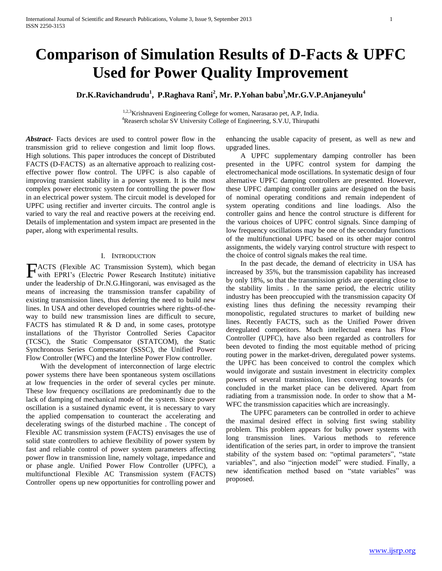# **Comparison of Simulation Results of D-Facts & UPFC Used for Power Quality Improvement**

# **Dr.K.Ravichandrudu<sup>1</sup> , P.Raghava Rani<sup>2</sup> , Mr. P.Yohan babu<sup>3</sup> ,Mr.G.V.P.Anjaneyulu<sup>4</sup>**

<sup>1,2,3</sup>Krishnaveni Engineering College for women, Narasarao pet, A.P, India. <sup>4</sup>Reaserch scholar SV University College of Engineering, S.V.U, Thirupathi

*Abstract***-** Facts devices are used to control power flow in the transmission grid to relieve congestion and limit loop flows. High solutions. This paper introduces the concept of Distributed FACTS (D-FACTS) as an alternative approach to realizing costeffective power flow control. The UPFC is also capable of improving transient stability in a power system. It is the most complex power electronic system for controlling the power flow in an electrical power system. The circuit model is developed for UPFC using rectifier and inverter circuits. The control angle is varied to vary the real and reactive powers at the receiving end. Details of implementation and system impact are presented in the paper, along with experimental results.

### I. INTRODUCTION

ACTS (Flexible AC Transmission System), which began FACTS (Flexible AC Transmission System), which began with EPRI's (Electric Power Research Institute) initiative under the leadership of Dr.N.G.Hingorani, was envisaged as the means of increasing the transmission transfer capability of existing transmission lines, thus deferring the need to build new lines. In USA and other developed countries where rights-of-theway to build new transmission lines are difficult to secure, FACTS has stimulated  $R \& D$  and, in some cases, prototype installations of the Thyristor Controlled Series Capacitor (TCSC), the Static Compensator (STATCOM), the Static Synchronous Series Compensator (SSSC), the Unified Power Flow Controller (WFC) and the Interline Power Flow controller.

 With the development of interconnection of large electric power systems there have been spontaneous system oscillations at low frequencies in the order of several cycles per minute. These low frequency oscillations are predominantly due to the lack of damping of mechanical mode of the system. Since power oscillation is a sustained dynamic event, it is necessary to vary the applied compensation to counteract the accelerating and decelerating swings of the disturbed machine . The concept of Flexible AC transmission system (FACTS) envisages the use of solid state controllers to achieve flexibility of power system by fast and reliable control of power system parameters affecting power flow in transmission line, namely voltage, impedance and or phase angle. Unified Power Flow Controller (UPFC), a multifunctional Flexible AC Transmission system (FACTS) Controller opens up new opportunities for controlling power and

enhancing the usable capacity of present, as well as new and upgraded lines.

 A UPFC supplementary damping controller has been presented in the UPFC control system for damping the electromechanical mode oscillations. In systematic design of four alternative UPFC damping controllers are presented. However, these UPFC damping controller gains are designed on the basis of nominal operating conditions and remain independent of system operating conditions and line loadings. Also the controller gains and hence the control structure is different for the various choices of UPFC control signals. Since damping of low frequency oscillations may be one of the secondary functions of the multifunctional UPFC based on its other major control assignments, the widely varying control structure with respect to the choice of control signals makes the real time.

 In the past decade, the demand of electricity in USA has increased by 35%, but the transmission capability has increased by only 18%, so that the transmission grids are operating close to the stability limits . In the same period, the electric utility industry has been preoccupied with the transmission capacity Of existing lines thus defining the necessity revamping their monopolistic, regulated structures to market of building new lines. Recently FACTS, such as the Unified Power driven deregulated competitors. Much intellectual enera has Flow Controller (UPFC), have also been regarded as controllers for been devoted to finding the most equitable method of pricing routing power in the market-driven, deregulated power systems. the UPFC has been conceived to control the complex which would invigorate and sustain investment in electricity complex powers of several transmission, lines converging towards (or concluded in the market place can be delivered. Apart from radiating from a transmission node. In order to show that a M-WFC the transmission capacities which are increasingly.

 The UPFC parameters can be controlled in order to achieve the maximal desired effect in solving first swing stability problem. This problem appears for bulky power systems with long transmission lines. Various methods to reference identification of the series part, in order to improve the transient stability of the system based on: "optimal parameters", "state variables", and also "injection model" were studied. Finally, a new identification method based on "state variables" was proposed.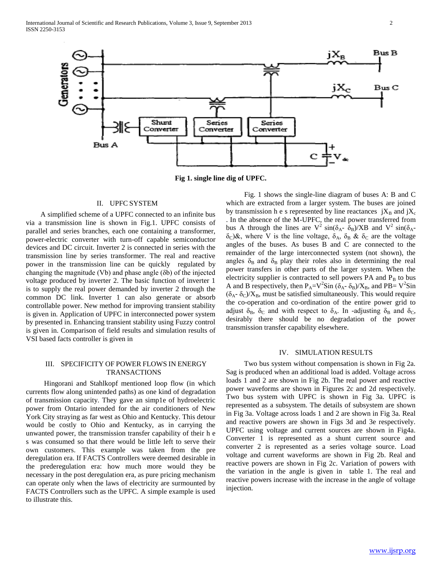

**Fig 1. single line dig of UPFC.**

#### II. UPFC SYSTEM

 A simplified scheme of a UPFC connected to an infinite bus via a transmission line is shown in Fig.1. UPFC consists of parallel and series branches, each one containing a transformer, power-electric converter with turn-off capable semiconductor devices and DC circuit. Inverter 2 is connected in series with the transmission line by series transformer. The real and reactive power in the transmission line can be quickly regulated by changing the magnitude (Vb) and phase angle (δb) of the injected voltage produced by inverter 2. The basic function of inverter 1 is to supply the real power demanded by inverter 2 through the common DC link. Inverter 1 can also generate or absorb controllable power. New method for improving transient stability is given in. Application of UPFC in interconnected power system by presented in. Enhancing transient stability using Fuzzy control is given in. Comparison of field results and simulation results of VSI based facts controller is given in

## III. SPECIFICITY OF POWER FLOWS IN ENERGY TRANSACTIONS

 Hingorani and Stahlkopf mentioned loop flow (in which currents flow along unintended paths) as one kind of degradation of transmission capacity. They gave an simp1e of hydroelectric power from Ontario intended for the air conditioners of New York City straying as far west as Ohio and Kentucky. This detour would be costly to Ohio and Kentucky, as in carrying the unwanted power, the transmission transfer capability of their h e s was consumed so that there would be little left to serve their own customers. This example was taken from the pre deregulation era. If FACTS Controllers were deemed desirable in the prederegulation era: how much more would they be necessary in the post deregulation era, as pure pricing mechanism can operate only when the laws of electricity are surmounted by FACTS Controllers such as the UPFC. A simple example is used to illustrate this.

 Fig. 1 shows the single-line diagram of buses A: B and C which are extracted from a larger system. The buses are joined by transmission h e s represented by line reactances  $jX_B$  and  $jX_C$ . In the absence of the M-UPFC, the real power transferred from bus A through the lines are  $V^2 \sin(\delta_{A} - \delta_B)/XB$  and  $V^2 \sin(\delta_{A} - \delta_B)$  $\delta_c$ )&, where V is the line voltage,  $\delta_A$ ,  $\delta_B$  &  $\delta_C$  are the voltage angles of the buses. As buses B and C are connected to the remainder of the large interconnected system (not shown), the angles  $\delta_B$  and  $\delta_B$  play their roles also in determining the real power transfers in other parts of the larger system. When the electricity supplier is contracted to sell powers  $PA$  and  $P_B$  to bus A and B respectively, then  $P_A = V^2 Sin(\delta_A - \delta_B)/X_B$ , and  $PB = V^2 Sin$  $(\delta_A - \delta_C)/X_B$ , must be satisfied simultaneously. This would require the co-operation and co-ordination of the entire power grid to adjust  $\delta_B$ ,  $\delta_C$  and with respect to  $\delta_A$ . In -adjusting  $\delta_B$  and  $\delta_C$ , desirably there should be no degradation of the power transmission transfer capability elsewhere.

### IV. SIMULATION RESULTS

 Two bus system without compensation is shown in Fig 2a. Sag is produced when an additional load is added. Voltage across loads 1 and 2 are shown in Fig 2b. The real power and reactive power waveforms are shown in Figures 2c and 2d respectively. Two bus system with UPFC is shown in Fig 3a. UPFC is represented as a subsystem. The details of subsystem are shown in Fig 3a. Voltage across loads 1 and 2 are shown in Fig 3a. Real and reactive powers are shown in Figs 3d and 3e respectively. UPFC using voltage and current sources are shown in Fig4a. Converter 1 is represented as a shunt current source and converter 2 is represented as a series voltage source. Load voltage and current waveforms are shown in Fig 2b. Real and reactive powers are shown in Fig 2c. Variation of powers with the variation in the angle is given in table 1. The real and reactive powers increase with the increase in the angle of voltage injection.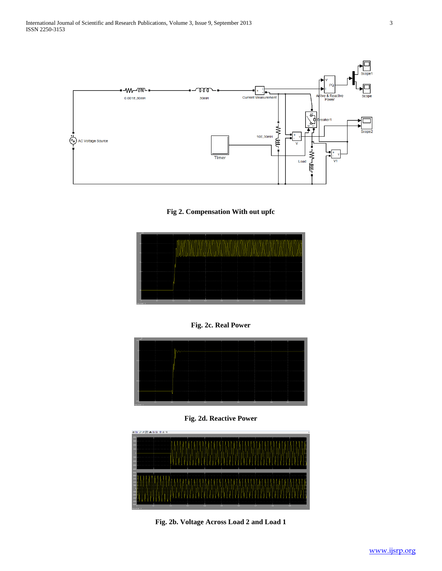

**Fig 2. Compensation With out upfc**



**Fig. 2c. Real Power**



**Fig. 2d. Reactive Power**



**Fig. 2b. Voltage Across Load 2 and Load 1**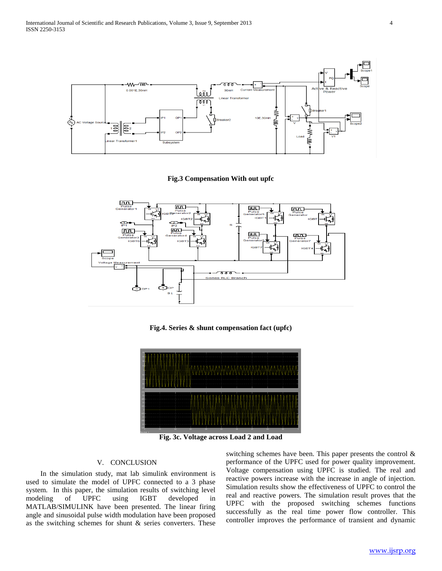

### **Fig.3 Compensation With out upfc**



**Fig.4. Series & shunt compensation fact (upfc)**



**Fig. 3c. Voltage across Load 2 and Load**

#### V. CONCLUSION

 In the simulation study, mat lab simulink environment is used to simulate the model of UPFC connected to a 3 phase system. In this paper, the simulation results of switching level modeling of UPFC using IGBT developed in MATLAB/SIMULINK have been presented. The linear firing angle and sinusoidal pulse width modulation have been proposed as the switching schemes for shunt  $\&$  series converters. These

switching schemes have been. This paper presents the control & performance of the UPFC used for power quality improvement. Voltage compensation using UPFC is studied. The real and reactive powers increase with the increase in angle of injection. Simulation results show the effectiveness of UPFC to control the real and reactive powers. The simulation result proves that the UPFC with the proposed switching schemes functions successfully as the real time power flow controller. This controller improves the performance of transient and dynamic